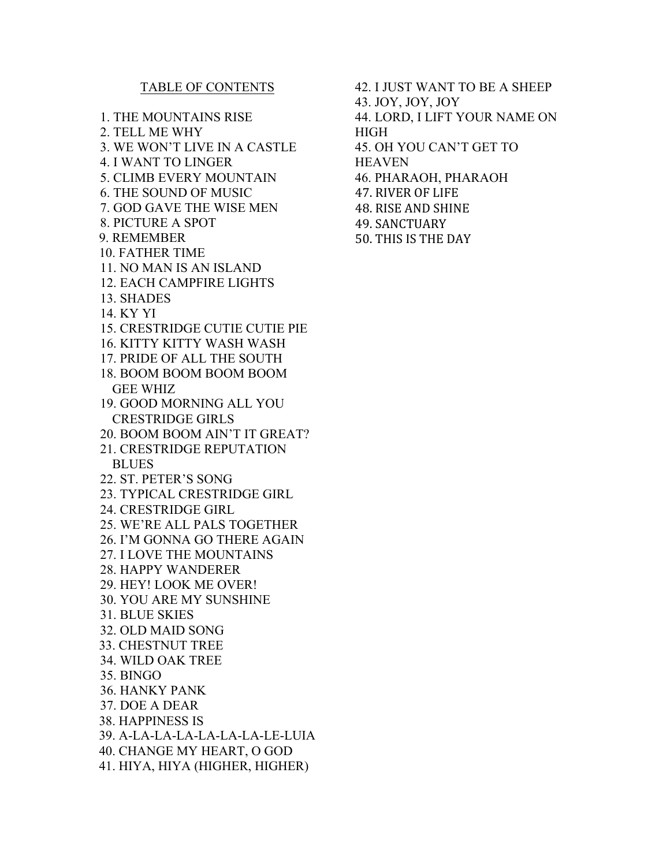#### TABLE OF CONTENTS

1. THE MOUNTAINS RISE 2. TELL ME WHY 3. WE WON'T LIVE IN A CASTLE 4. I WANT TO LINGER 5. CLIMB EVERY MOUNTAIN 6. THE SOUND OF MUSIC 7. GOD GAVE THE WISE MEN 8. PICTURE A SPOT 9. REMEMBER 10. FATHER TIME 11. NO MAN IS AN ISLAND 12. EACH CAMPFIRE LIGHTS 13. SHADES 14. KY YI 15. CRESTRIDGE CUTIE CUTIE PIE 16. KITTY KITTY WASH WASH 17. PRIDE OF ALL THE SOUTH 18. BOOM BOOM BOOM BOOM GEE WHIZ 19. GOOD MORNING ALL YOU CRESTRIDGE GIRLS 20. BOOM BOOM AIN'T IT GREAT? 21. CRESTRIDGE REPUTATION BLUES 22. ST. PETER'S SONG 23. TYPICAL CRESTRIDGE GIRL 24. CRESTRIDGE GIRL 25. WE'RE ALL PALS TOGETHER 26. I'M GONNA GO THERE AGAIN 27. I LOVE THE MOUNTAINS 28. HAPPY WANDERER 29. HEY! LOOK ME OVER! 30. YOU ARE MY SUNSHINE 31. BLUE SKIES 32. OLD MAID SONG 33. CHESTNUT TREE 34. WILD OAK TREE 35. BINGO 36. HANKY PANK 37. DOE A DEAR 38. HAPPINESS IS 39. A-LA-LA-LA-LA-LA-LA-LE-LUIA 40. CHANGE MY HEART, O GOD 41. HIYA, HIYA (HIGHER, HIGHER)

- 42. I JUST WANT TO BE A SHEEP
- 43. JOY, JOY, JOY

44. LORD, I LIFT YOUR NAME ON HIGH

45. OH YOU CAN'T GET TO

**HEAVEN** 

- 46. PHARAOH, PHARAOH
- 47. RIVER OF LIFE
- 48. RISE AND SHINE
- 49. SANCTUARY
- 50. THIS IS THE DAY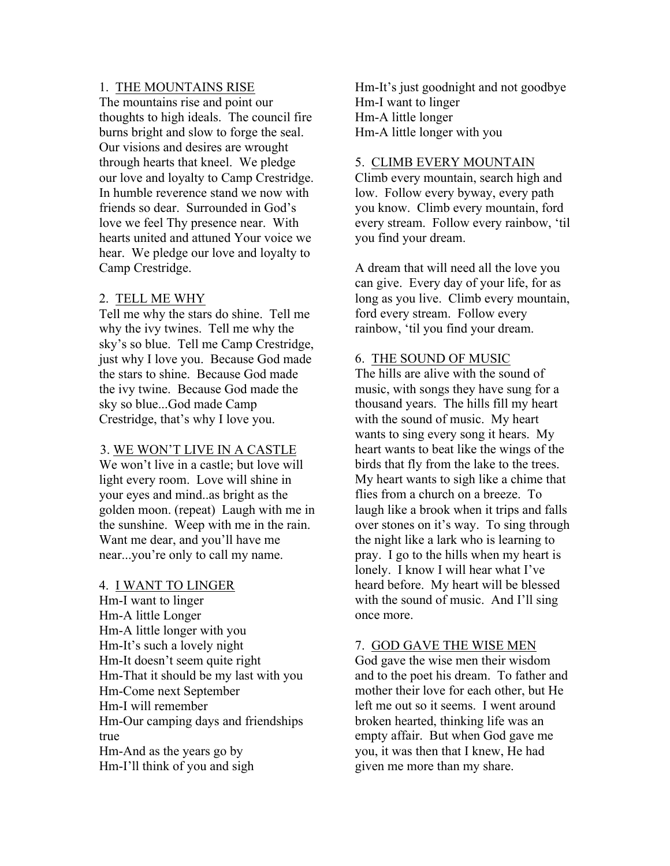#### 1. THE MOUNTAINS RISE

The mountains rise and point our thoughts to high ideals. The council fire burns bright and slow to forge the seal. Our visions and desires are wrought through hearts that kneel. We pledge our love and loyalty to Camp Crestridge. In humble reverence stand we now with friends so dear. Surrounded in God's love we feel Thy presence near. With hearts united and attuned Your voice we hear. We pledge our love and loyalty to Camp Crestridge.

### 2. TELL ME WHY

Tell me why the stars do shine. Tell me why the ivy twines. Tell me why the sky's so blue. Tell me Camp Crestridge, just why I love you. Because God made the stars to shine. Because God made the ivy twine. Because God made the sky so blue...God made Camp Crestridge, that's why I love you.

### 3. WE WON'T LIVE IN A CASTLE

We won't live in a castle; but love will light every room. Love will shine in your eyes and mind..as bright as the golden moon. (repeat) Laugh with me in the sunshine. Weep with me in the rain. Want me dear, and you'll have me near...you're only to call my name.

4. I WANT TO LINGER Hm-I want to linger Hm-A little Longer Hm-A little longer with you Hm-It's such a lovely night Hm-It doesn't seem quite right Hm-That it should be my last with you Hm-Come next September Hm-I will remember Hm-Our camping days and friendships true Hm-And as the years go by Hm-I'll think of you and sigh

Hm-It's just goodnight and not goodbye Hm-I want to linger Hm-A little longer Hm-A little longer with you

### 5. CLIMB EVERY MOUNTAIN

Climb every mountain, search high and low. Follow every byway, every path you know. Climb every mountain, ford every stream. Follow every rainbow, 'til you find your dream.

A dream that will need all the love you can give. Every day of your life, for as long as you live. Climb every mountain, ford every stream. Follow every rainbow, 'til you find your dream.

## 6. THE SOUND OF MUSIC

The hills are alive with the sound of music, with songs they have sung for a thousand years. The hills fill my heart with the sound of music. My heart wants to sing every song it hears. My heart wants to beat like the wings of the birds that fly from the lake to the trees. My heart wants to sigh like a chime that flies from a church on a breeze. To laugh like a brook when it trips and falls over stones on it's way. To sing through the night like a lark who is learning to pray. I go to the hills when my heart is lonely. I know I will hear what I've heard before. My heart will be blessed with the sound of music. And I'll sing once more.

## 7. GOD GAVE THE WISE MEN

God gave the wise men their wisdom and to the poet his dream. To father and mother their love for each other, but He left me out so it seems. I went around broken hearted, thinking life was an empty affair. But when God gave me you, it was then that I knew, He had given me more than my share.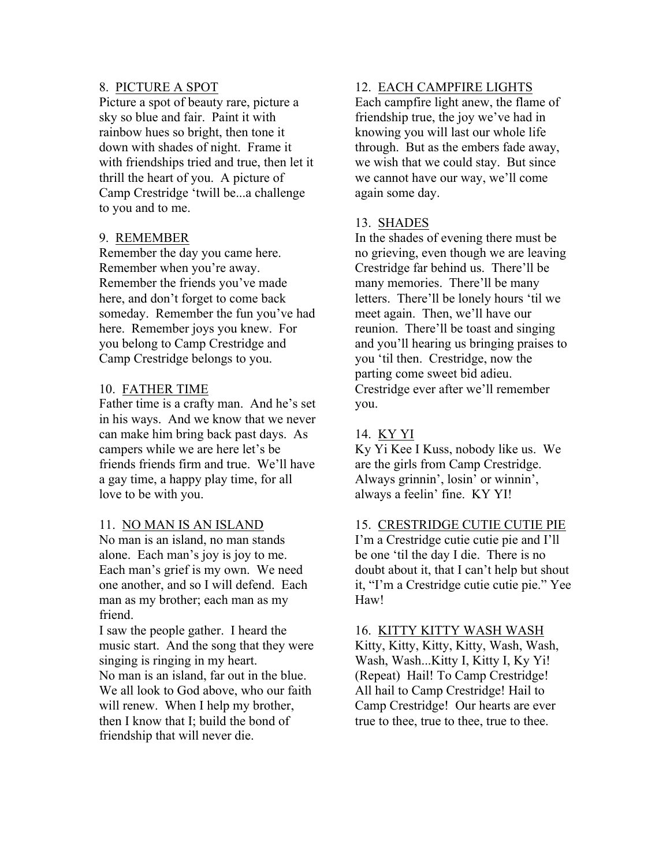### 8. PICTURE A SPOT

Picture a spot of beauty rare, picture a sky so blue and fair. Paint it with rainbow hues so bright, then tone it down with shades of night. Frame it with friendships tried and true, then let it thrill the heart of you. A picture of Camp Crestridge 'twill be...a challenge to you and to me.

## 9. REMEMBER

Remember the day you came here. Remember when you're away. Remember the friends you've made here, and don't forget to come back someday. Remember the fun you've had here. Remember joys you knew. For you belong to Camp Crestridge and Camp Crestridge belongs to you.

## 10. FATHER TIME

Father time is a crafty man. And he's set in his ways. And we know that we never can make him bring back past days. As campers while we are here let's be friends friends firm and true. We'll have a gay time, a happy play time, for all love to be with you.

### 11. NO MAN IS AN ISLAND

No man is an island, no man stands alone. Each man's joy is joy to me. Each man's grief is my own. We need one another, and so I will defend. Each man as my brother; each man as my friend.

I saw the people gather. I heard the music start. And the song that they were singing is ringing in my heart. No man is an island, far out in the blue. We all look to God above, who our faith will renew. When I help my brother, then I know that I; build the bond of friendship that will never die.

## 12. EACH CAMPFIRE LIGHTS

Each campfire light anew, the flame of friendship true, the joy we've had in knowing you will last our whole life through. But as the embers fade away, we wish that we could stay. But since we cannot have our way, we'll come again some day.

## 13. SHADES

In the shades of evening there must be no grieving, even though we are leaving Crestridge far behind us. There'll be many memories. There'll be many letters. There'll be lonely hours 'til we meet again. Then, we'll have our reunion. There'll be toast and singing and you'll hearing us bringing praises to you 'til then. Crestridge, now the parting come sweet bid adieu. Crestridge ever after we'll remember you.

## 14. KY YI

Ky Yi Kee I Kuss, nobody like us. We are the girls from Camp Crestridge. Always grinnin', losin' or winnin', always a feelin' fine. KY YI!

## 15. CRESTRIDGE CUTIE CUTIE PIE

I'm a Crestridge cutie cutie pie and I'll be one 'til the day I die. There is no doubt about it, that I can't help but shout it, "I'm a Crestridge cutie cutie pie." Yee Haw!

## 16. KITTY KITTY WASH WASH

Kitty, Kitty, Kitty, Kitty, Wash, Wash, Wash, Wash...Kitty I, Kitty I, Ky Yi! (Repeat) Hail! To Camp Crestridge! All hail to Camp Crestridge! Hail to Camp Crestridge! Our hearts are ever true to thee, true to thee, true to thee.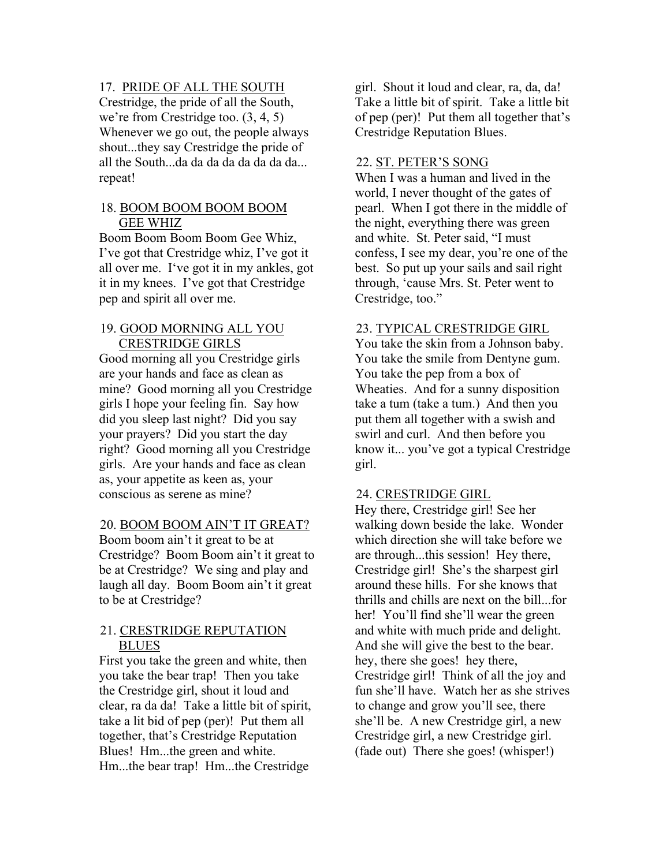#### 17. PRIDE OF ALL THE SOUTH

Crestridge, the pride of all the South, we're from Crestridge too. (3, 4, 5) Whenever we go out, the people always shout...they say Crestridge the pride of all the South...da da da da da da da da... repeat!

#### 18. BOOM BOOM BOOM BOOM GEE WHIZ

Boom Boom Boom Boom Gee Whiz, I've got that Crestridge whiz, I've got it all over me. I've got it in my ankles, got it in my knees. I've got that Crestridge pep and spirit all over me.

#### 19. GOOD MORNING ALL YOU CRESTRIDGE GIRLS

Good morning all you Crestridge girls are your hands and face as clean as mine? Good morning all you Crestridge girls I hope your feeling fin. Say how did you sleep last night? Did you say your prayers? Did you start the day right? Good morning all you Crestridge girls. Are your hands and face as clean as, your appetite as keen as, your conscious as serene as mine?

#### 20. BOOM BOOM AIN'T IT GREAT?

Boom boom ain't it great to be at Crestridge? Boom Boom ain't it great to be at Crestridge? We sing and play and laugh all day. Boom Boom ain't it great to be at Crestridge?

#### 21. CRESTRIDGE REPUTATION **BLUES**

First you take the green and white, then you take the bear trap! Then you take the Crestridge girl, shout it loud and clear, ra da da! Take a little bit of spirit, take a lit bid of pep (per)! Put them all together, that's Crestridge Reputation Blues! Hm...the green and white. Hm...the bear trap! Hm...the Crestridge

girl. Shout it loud and clear, ra, da, da! Take a little bit of spirit. Take a little bit of pep (per)! Put them all together that's Crestridge Reputation Blues.

#### 22. ST. PETER'S SONG

When I was a human and lived in the world, I never thought of the gates of pearl. When I got there in the middle of the night, everything there was green and white. St. Peter said, "I must confess, I see my dear, you're one of the best. So put up your sails and sail right through, 'cause Mrs. St. Peter went to Crestridge, too."

### 23. TYPICAL CRESTRIDGE GIRL

You take the skin from a Johnson baby. You take the smile from Dentyne gum. You take the pep from a box of Wheaties. And for a sunny disposition take a tum (take a tum.) And then you put them all together with a swish and swirl and curl. And then before you know it... you've got a typical Crestridge girl.

#### 24. CRESTRIDGE GIRL

Hey there, Crestridge girl! See her walking down beside the lake. Wonder which direction she will take before we are through...this session! Hey there, Crestridge girl! She's the sharpest girl around these hills. For she knows that thrills and chills are next on the bill...for her! You'll find she'll wear the green and white with much pride and delight. And she will give the best to the bear. hey, there she goes! hey there, Crestridge girl! Think of all the joy and fun she'll have. Watch her as she strives to change and grow you'll see, there she'll be. A new Crestridge girl, a new Crestridge girl, a new Crestridge girl. (fade out) There she goes! (whisper!)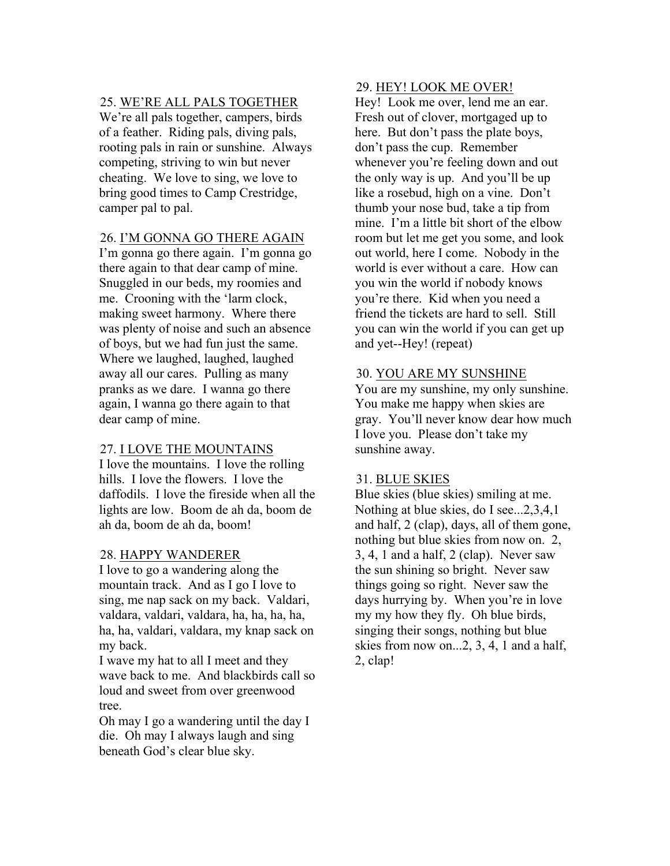### 25. WE'RE ALL PALS TOGETHER

We're all pals together, campers, birds of a feather. Riding pals, diving pals, rooting pals in rain or sunshine. Always competing, striving to win but never cheating. We love to sing, we love to bring good times to Camp Crestridge, camper pal to pal.

## 26. I'M GONNA GO THERE AGAIN

I'm gonna go there again. I'm gonna go there again to that dear camp of mine. Snuggled in our beds, my roomies and me. Crooning with the 'larm clock, making sweet harmony. Where there was plenty of noise and such an absence of boys, but we had fun just the same. Where we laughed, laughed, laughed away all our cares. Pulling as many pranks as we dare. I wanna go there again, I wanna go there again to that dear camp of mine.

### 27. I LOVE THE MOUNTAINS

I love the mountains. I love the rolling hills. I love the flowers. I love the daffodils. I love the fireside when all the lights are low. Boom de ah da, boom de ah da, boom de ah da, boom!

### 28. HAPPY WANDERER

I love to go a wandering along the mountain track. And as I go I love to sing, me nap sack on my back. Valdari, valdara, valdari, valdara, ha, ha, ha, ha, ha, ha, valdari, valdara, my knap sack on my back.

I wave my hat to all I meet and they wave back to me. And blackbirds call so loud and sweet from over greenwood tree.

Oh may I go a wandering until the day I die. Oh may I always laugh and sing beneath God's clear blue sky.

### 29. HEY! LOOK ME OVER!

Hey! Look me over, lend me an ear. Fresh out of clover, mortgaged up to here. But don't pass the plate boys, don't pass the cup. Remember whenever you're feeling down and out the only way is up. And you'll be up like a rosebud, high on a vine. Don't thumb your nose bud, take a tip from mine. I'm a little bit short of the elbow room but let me get you some, and look out world, here I come. Nobody in the world is ever without a care. How can you win the world if nobody knows you're there. Kid when you need a friend the tickets are hard to sell. Still you can win the world if you can get up and yet--Hey! (repeat)

## 30. YOU ARE MY SUNSHINE

You are my sunshine, my only sunshine. You make me happy when skies are gray. You'll never know dear how much I love you. Please don't take my sunshine away.

### 31. BLUE SKIES

Blue skies (blue skies) smiling at me. Nothing at blue skies, do I see...2,3,4,1 and half, 2 (clap), days, all of them gone, nothing but blue skies from now on. 2, 3, 4, 1 and a half, 2 (clap). Never saw the sun shining so bright. Never saw things going so right. Never saw the days hurrying by. When you're in love my my how they fly. Oh blue birds, singing their songs, nothing but blue skies from now on...2, 3, 4, 1 and a half, 2, clap!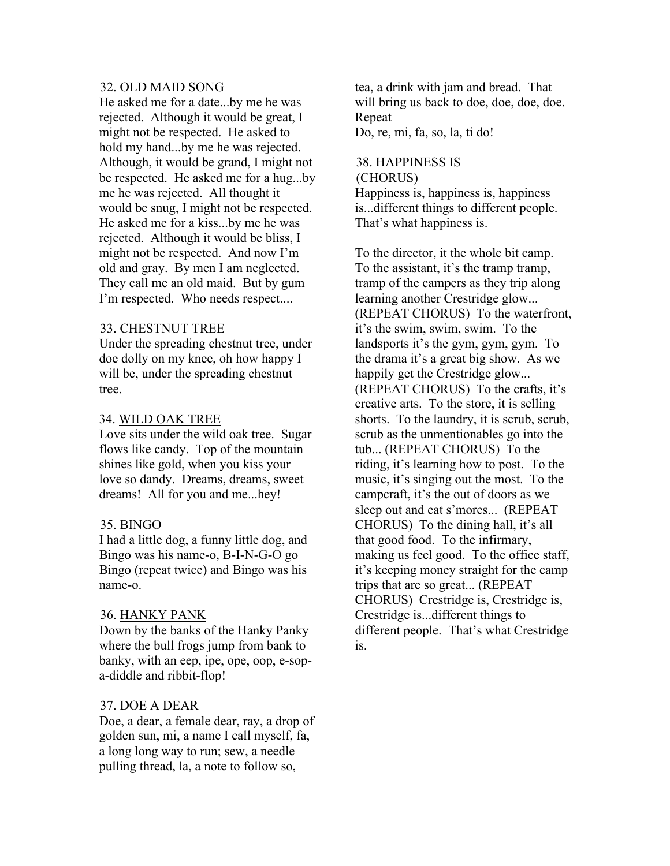#### 32. OLD MAID SONG

He asked me for a date...by me he was rejected. Although it would be great, I might not be respected. He asked to hold my hand...by me he was rejected. Although, it would be grand, I might not be respected. He asked me for a hug...by me he was rejected. All thought it would be snug, I might not be respected. He asked me for a kiss...by me he was rejected. Although it would be bliss, I might not be respected. And now I'm old and gray. By men I am neglected. They call me an old maid. But by gum I'm respected. Who needs respect....

#### 33. CHESTNUT TREE

Under the spreading chestnut tree, under doe dolly on my knee, oh how happy I will be, under the spreading chestnut tree.

#### 34. WILD OAK TREE

Love sits under the wild oak tree. Sugar flows like candy. Top of the mountain shines like gold, when you kiss your love so dandy. Dreams, dreams, sweet dreams! All for you and me...hey!

#### 35. BINGO

I had a little dog, a funny little dog, and Bingo was his name-o, B-I-N-G-O go Bingo (repeat twice) and Bingo was his name-o.

### 36. HANKY PANK

Down by the banks of the Hanky Panky where the bull frogs jump from bank to banky, with an eep, ipe, ope, oop, e-sopa-diddle and ribbit-flop!

### 37. DOE A DEAR

Doe, a dear, a female dear, ray, a drop of golden sun, mi, a name I call myself, fa, a long long way to run; sew, a needle pulling thread, la, a note to follow so,

tea, a drink with jam and bread. That will bring us back to doe, doe, doe, doe. Repeat Do, re, mi, fa, so, la, ti do!

### 38. HAPPINESS IS

(CHORUS)

Happiness is, happiness is, happiness is...different things to different people. That's what happiness is.

To the director, it the whole bit camp. To the assistant, it's the tramp tramp, tramp of the campers as they trip along learning another Crestridge glow... (REPEAT CHORUS) To the waterfront, it's the swim, swim, swim. To the landsports it's the gym, gym, gym. To the drama it's a great big show. As we happily get the Crestridge glow... (REPEAT CHORUS) To the crafts, it's creative arts. To the store, it is selling shorts. To the laundry, it is scrub, scrub, scrub as the unmentionables go into the tub... (REPEAT CHORUS) To the riding, it's learning how to post. To the music, it's singing out the most. To the campcraft, it's the out of doors as we sleep out and eat s'mores... (REPEAT CHORUS) To the dining hall, it's all that good food. To the infirmary, making us feel good. To the office staff, it's keeping money straight for the camp trips that are so great... (REPEAT CHORUS) Crestridge is, Crestridge is, Crestridge is...different things to different people. That's what Crestridge is.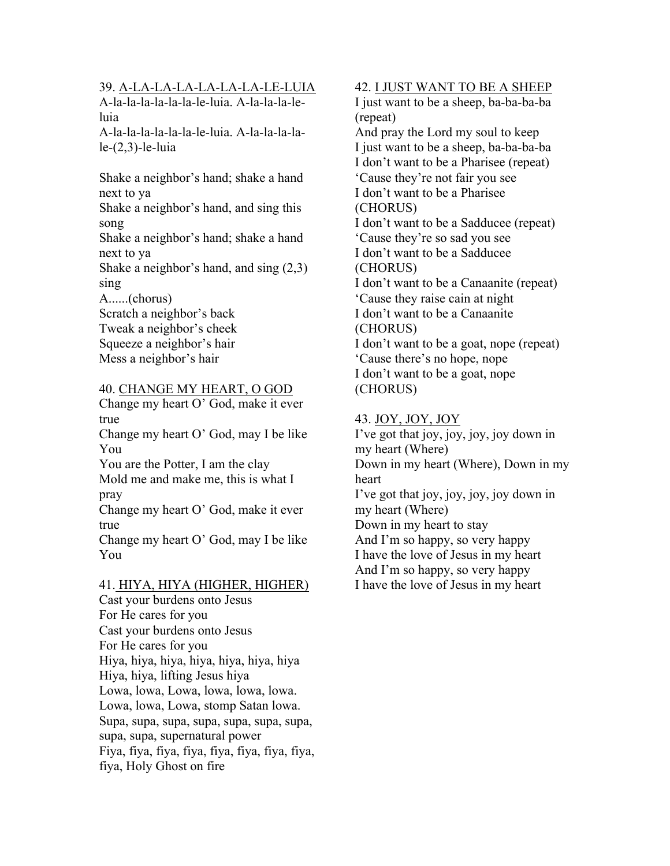#### 39. A-LA-LA-LA-LA-LA-LA-LE-LUIA

A-la-la-la-la-la-la-le-luia. A-la-la-la-leluia

A-la-la-la-la-la-la-le-luia. A-la-la-la-lale-(2,3)-le-luia

Shake a neighbor's hand; shake a hand next to ya

Shake a neighbor's hand, and sing this song

Shake a neighbor's hand; shake a hand next to ya

Shake a neighbor's hand, and sing (2,3) sing

A......(chorus)

Scratch a neighbor's back Tweak a neighbor's cheek Squeeze a neighbor's hair Mess a neighbor's hair

## 40. CHANGE MY HEART, O GOD

Change my heart O' God, make it ever true Change my heart O' God, may I be like You You are the Potter, I am the clay

Mold me and make me, this is what I pray

Change my heart O' God, make it ever true

Change my heart O' God, may I be like You

# 41. HIYA, HIYA (HIGHER, HIGHER)

Cast your burdens onto Jesus For He cares for you Cast your burdens onto Jesus For He cares for you Hiya, hiya, hiya, hiya, hiya, hiya, hiya Hiya, hiya, lifting Jesus hiya Lowa, lowa, Lowa, lowa, lowa, lowa. Lowa, lowa, Lowa, stomp Satan lowa. Supa, supa, supa, supa, supa, supa, supa, supa, supa, supernatural power Fiya, fiya, fiya, fiya, fiya, fiya, fiya, fiya, fiya, Holy Ghost on fire

#### 42. I JUST WANT TO BE A SHEEP

I just want to be a sheep, ba-ba-ba-ba (repeat) And pray the Lord my soul to keep I just want to be a sheep, ba-ba-ba-ba I don't want to be a Pharisee (repeat) 'Cause they're not fair you see I don't want to be a Pharisee (CHORUS) I don't want to be a Sadducee (repeat) 'Cause they're so sad you see I don't want to be a Sadducee (CHORUS) I don't want to be a Canaanite (repeat) 'Cause they raise cain at night I don't want to be a Canaanite (CHORUS) I don't want to be a goat, nope (repeat) 'Cause there's no hope, nope I don't want to be a goat, nope (CHORUS)

## 43. JOY, JOY, JOY

I've got that joy, joy, joy, joy down in my heart (Where) Down in my heart (Where), Down in my heart I've got that joy, joy, joy, joy down in my heart (Where) Down in my heart to stay And I'm so happy, so very happy I have the love of Jesus in my heart And I'm so happy, so very happy I have the love of Jesus in my heart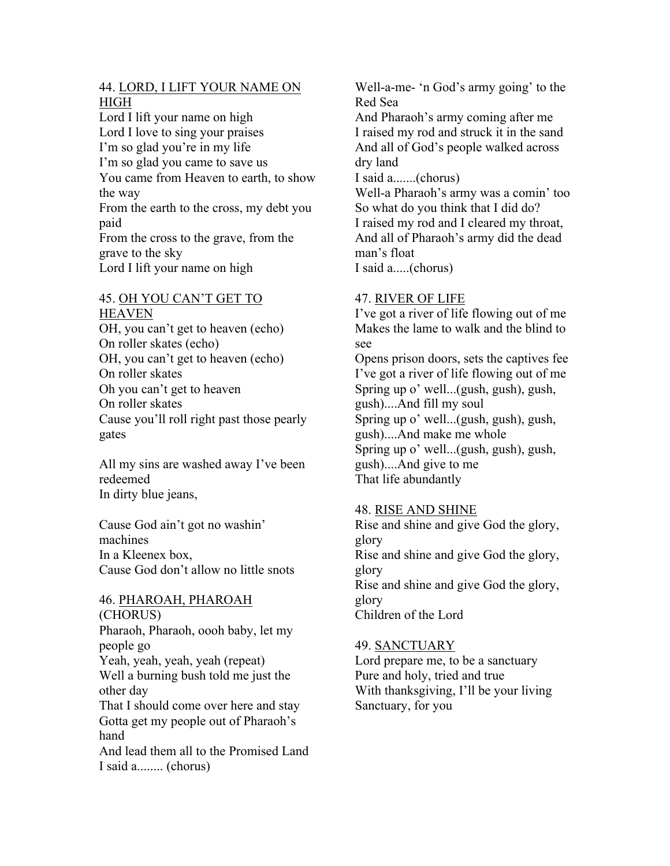### 44. LORD, I LIFT YOUR NAME ON HIGH

Lord I lift your name on high Lord I love to sing your praises I'm so glad you're in my life I'm so glad you came to save us You came from Heaven to earth, to show the way From the earth to the cross, my debt you paid From the cross to the grave, from the grave to the sky Lord I lift your name on high

#### 45. OH YOU CAN'T GET TO HEAVEN

OH, you can't get to heaven (echo) On roller skates (echo) OH, you can't get to heaven (echo) On roller skates Oh you can't get to heaven On roller skates Cause you'll roll right past those pearly gates

All my sins are washed away I've been redeemed In dirty blue jeans,

Cause God ain't got no washin' machines In a Kleenex box, Cause God don't allow no little snots

# 46. PHAROAH, PHAROAH

(CHORUS) Pharaoh, Pharaoh, oooh baby, let my people go Yeah, yeah, yeah, yeah (repeat) Well a burning bush told me just the other day That I should come over here and stay Gotta get my people out of Pharaoh's hand And lead them all to the Promised Land I said a........ (chorus)

Well-a-me- 'n God's army going' to the Red Sea

And Pharaoh's army coming after me I raised my rod and struck it in the sand And all of God's people walked across dry land

I said a.......(chorus)

Well-a Pharaoh's army was a comin' too So what do you think that I did do? I raised my rod and I cleared my throat, And all of Pharaoh's army did the dead man's float I said a.....(chorus)

## 47. RIVER OF LIFE

I've got a river of life flowing out of me Makes the lame to walk and the blind to see

Opens prison doors, sets the captives fee I've got a river of life flowing out of me Spring up o' well...(gush, gush), gush, gush)....And fill my soul Spring up o' well...(gush, gush), gush, gush)....And make me whole Spring up o' well...(gush, gush), gush, gush)....And give to me That life abundantly

## 48. RISE AND SHINE

Rise and shine and give God the glory, glory Rise and shine and give God the glory, glory Rise and shine and give God the glory, glory Children of the Lord

## 49. SANCTUARY

Lord prepare me, to be a sanctuary Pure and holy, tried and true With thanksgiving, I'll be your living Sanctuary, for you